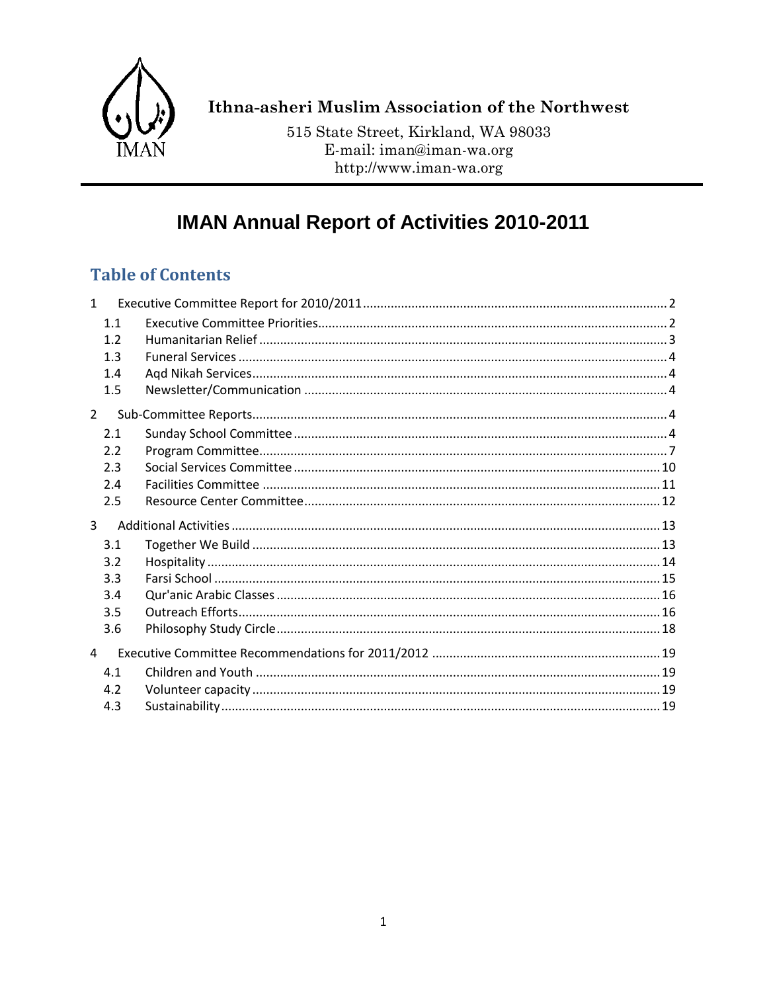

# Ithna-asheri Muslim Association of the Northwest

515 State Street, Kirkland, WA 98033 E-mail: iman@iman-wa.org http://www.iman-wa.org

# **IMAN Annual Report of Activities 2010-2011**

# **Table of Contents**

| 1              |     |  |
|----------------|-----|--|
|                | 1.1 |  |
|                | 1.2 |  |
|                | 1.3 |  |
|                | 1.4 |  |
|                | 1.5 |  |
| $\overline{2}$ |     |  |
|                | 2.1 |  |
|                | 2.2 |  |
|                | 2.3 |  |
|                | 2.4 |  |
|                | 2.5 |  |
| 3              |     |  |
|                | 3.1 |  |
|                | 3.2 |  |
|                | 3.3 |  |
|                | 3.4 |  |
|                | 3.5 |  |
|                | 3.6 |  |
| $\overline{4}$ |     |  |
|                | 4.1 |  |
|                | 4.2 |  |
|                | 4.3 |  |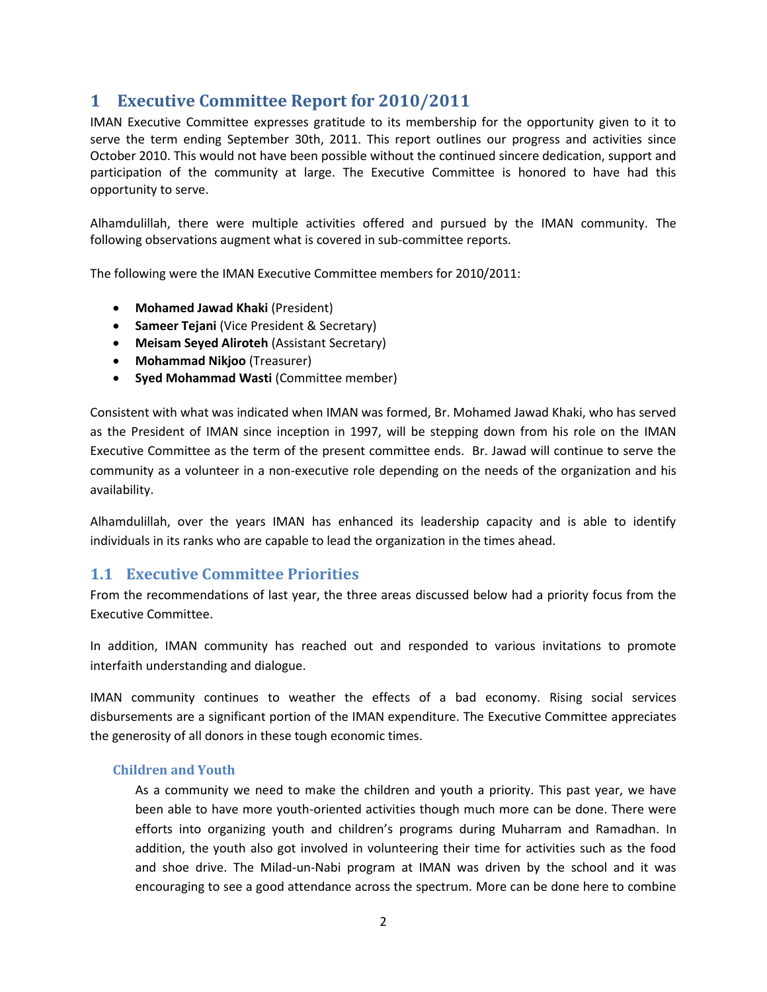# <span id="page-1-0"></span>**1 Executive Committee Report for 2010/2011**

IMAN Executive Committee expresses gratitude to its membership for the opportunity given to it to serve the term ending September 30th, 2011. This report outlines our progress and activities since October 2010. This would not have been possible without the continued sincere dedication, support and participation of the community at large. The Executive Committee is honored to have had this opportunity to serve.

Alhamdulillah, there were multiple activities offered and pursued by the IMAN community. The following observations augment what is covered in sub-committee reports.

The following were the IMAN Executive Committee members for 2010/2011:

- **Mohamed Jawad Khaki** (President)
- **Sameer Tejani** (Vice President & Secretary)
- **Meisam Seyed Aliroteh** (Assistant Secretary)
- **Mohammad Nikjoo** (Treasurer)
- **Syed Mohammad Wasti** (Committee member)

Consistent with what was indicated when IMAN was formed, Br. Mohamed Jawad Khaki, who has served as the President of IMAN since inception in 1997, will be stepping down from his role on the IMAN Executive Committee as the term of the present committee ends. Br. Jawad will continue to serve the community as a volunteer in a non-executive role depending on the needs of the organization and his availability.

Alhamdulillah, over the years IMAN has enhanced its leadership capacity and is able to identify individuals in its ranks who are capable to lead the organization in the times ahead.

### <span id="page-1-1"></span>**1.1 Executive Committee Priorities**

From the recommendations of last year, the three areas discussed below had a priority focus from the Executive Committee.

In addition, IMAN community has reached out and responded to various invitations to promote interfaith understanding and dialogue.

IMAN community continues to weather the effects of a bad economy. Rising social services disbursements are a significant portion of the IMAN expenditure. The Executive Committee appreciates the generosity of all donors in these tough economic times.

### **Children and Youth**

As a community we need to make the children and youth a priority. This past year, we have been able to have more youth-oriented activities though much more can be done. There were efforts into organizing youth and children's programs during Muharram and Ramadhan. In addition, the youth also got involved in volunteering their time for activities such as the food and shoe drive. The Milad-un-Nabi program at IMAN was driven by the school and it was encouraging to see a good attendance across the spectrum. More can be done here to combine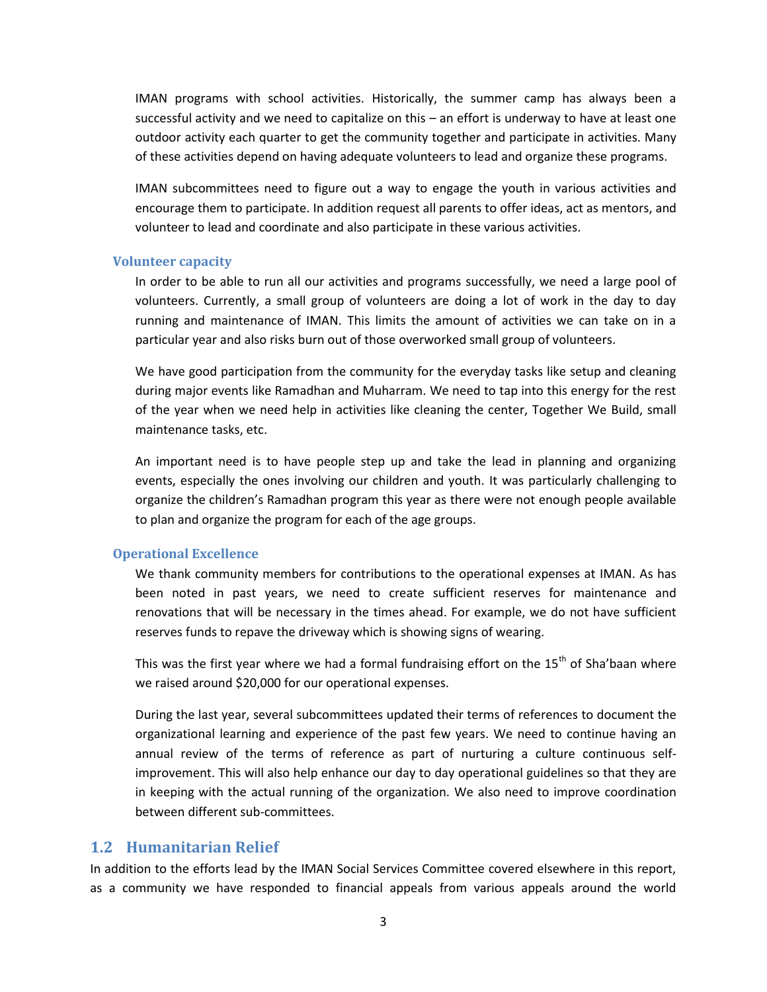IMAN programs with school activities. Historically, the summer camp has always been a successful activity and we need to capitalize on this – an effort is underway to have at least one outdoor activity each quarter to get the community together and participate in activities. Many of these activities depend on having adequate volunteers to lead and organize these programs.

IMAN subcommittees need to figure out a way to engage the youth in various activities and encourage them to participate. In addition request all parents to offer ideas, act as mentors, and volunteer to lead and coordinate and also participate in these various activities.

#### **Volunteer capacity**

In order to be able to run all our activities and programs successfully, we need a large pool of volunteers. Currently, a small group of volunteers are doing a lot of work in the day to day running and maintenance of IMAN. This limits the amount of activities we can take on in a particular year and also risks burn out of those overworked small group of volunteers.

We have good participation from the community for the everyday tasks like setup and cleaning during major events like Ramadhan and Muharram. We need to tap into this energy for the rest of the year when we need help in activities like cleaning the center, Together We Build, small maintenance tasks, etc.

An important need is to have people step up and take the lead in planning and organizing events, especially the ones involving our children and youth. It was particularly challenging to organize the children's Ramadhan program this year as there were not enough people available to plan and organize the program for each of the age groups.

#### **Operational Excellence**

We thank community members for contributions to the operational expenses at IMAN. As has been noted in past years, we need to create sufficient reserves for maintenance and renovations that will be necessary in the times ahead. For example, we do not have sufficient reserves funds to repave the driveway which is showing signs of wearing.

This was the first year where we had a formal fundraising effort on the  $15<sup>th</sup>$  of Sha'baan where we raised around \$20,000 for our operational expenses.

During the last year, several subcommittees updated their terms of references to document the organizational learning and experience of the past few years. We need to continue having an annual review of the terms of reference as part of nurturing a culture continuous selfimprovement. This will also help enhance our day to day operational guidelines so that they are in keeping with the actual running of the organization. We also need to improve coordination between different sub-committees.

### <span id="page-2-0"></span>**1.2 Humanitarian Relief**

In addition to the efforts lead by the IMAN Social Services Committee covered elsewhere in this report, as a community we have responded to financial appeals from various appeals around the world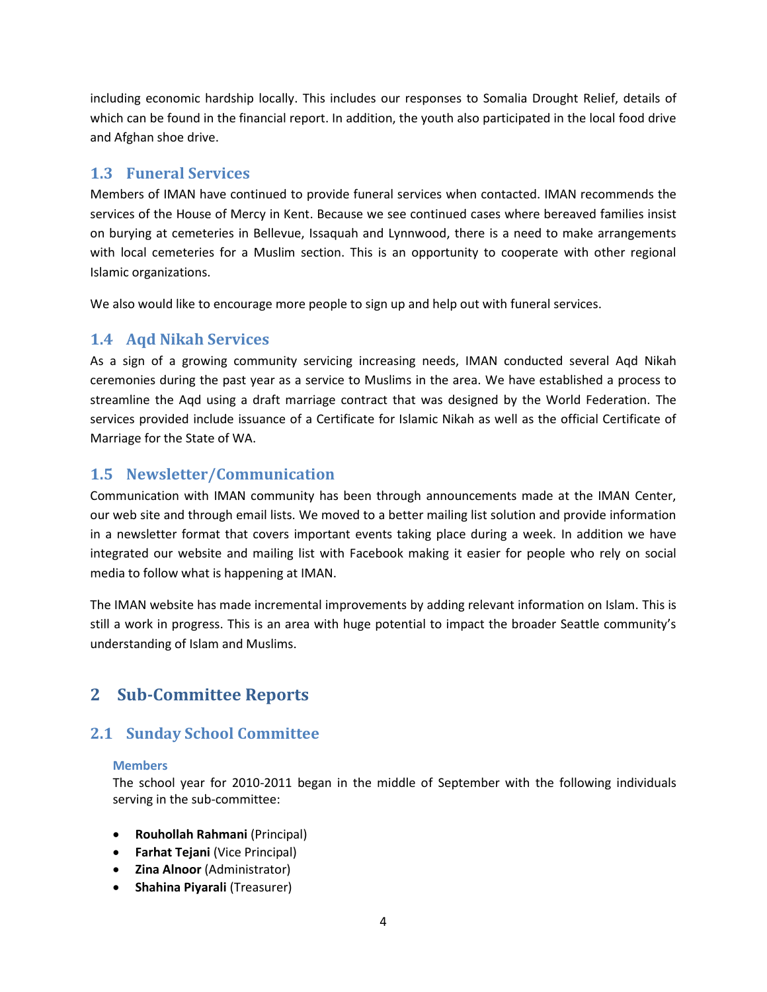including economic hardship locally. This includes our responses to Somalia Drought Relief, details of which can be found in the financial report. In addition, the youth also participated in the local food drive and Afghan shoe drive.

# <span id="page-3-0"></span>**1.3 Funeral Services**

Members of IMAN have continued to provide funeral services when contacted. IMAN recommends the services of the House of Mercy in Kent. Because we see continued cases where bereaved families insist on burying at cemeteries in Bellevue, Issaquah and Lynnwood, there is a need to make arrangements with local cemeteries for a Muslim section. This is an opportunity to cooperate with other regional Islamic organizations.

We also would like to encourage more people to sign up and help out with funeral services.

## <span id="page-3-1"></span>**1.4 Aqd Nikah Services**

As a sign of a growing community servicing increasing needs, IMAN conducted several Aqd Nikah ceremonies during the past year as a service to Muslims in the area. We have established a process to streamline the Aqd using a draft marriage contract that was designed by the World Federation. The services provided include issuance of a Certificate for Islamic Nikah as well as the official Certificate of Marriage for the State of WA.

# <span id="page-3-2"></span>**1.5 Newsletter/Communication**

Communication with IMAN community has been through announcements made at the IMAN Center, our web site and through email lists. We moved to a better mailing list solution and provide information in a newsletter format that covers important events taking place during a week. In addition we have integrated our website and mailing list with Facebook making it easier for people who rely on social media to follow what is happening at IMAN.

The IMAN website has made incremental improvements by adding relevant information on Islam. This is still a work in progress. This is an area with huge potential to impact the broader Seattle community's understanding of Islam and Muslims.

# <span id="page-3-3"></span>**2 Sub-Committee Reports**

# <span id="page-3-4"></span>**2.1 Sunday School Committee**

### **Members**

The school year for 2010-2011 began in the middle of September with the following individuals serving in the sub-committee:

- **Rouhollah Rahmani** (Principal)
- **Farhat Tejani** (Vice Principal)
- **Zina Alnoor** (Administrator)
- **•** Shahina Piyarali (Treasurer)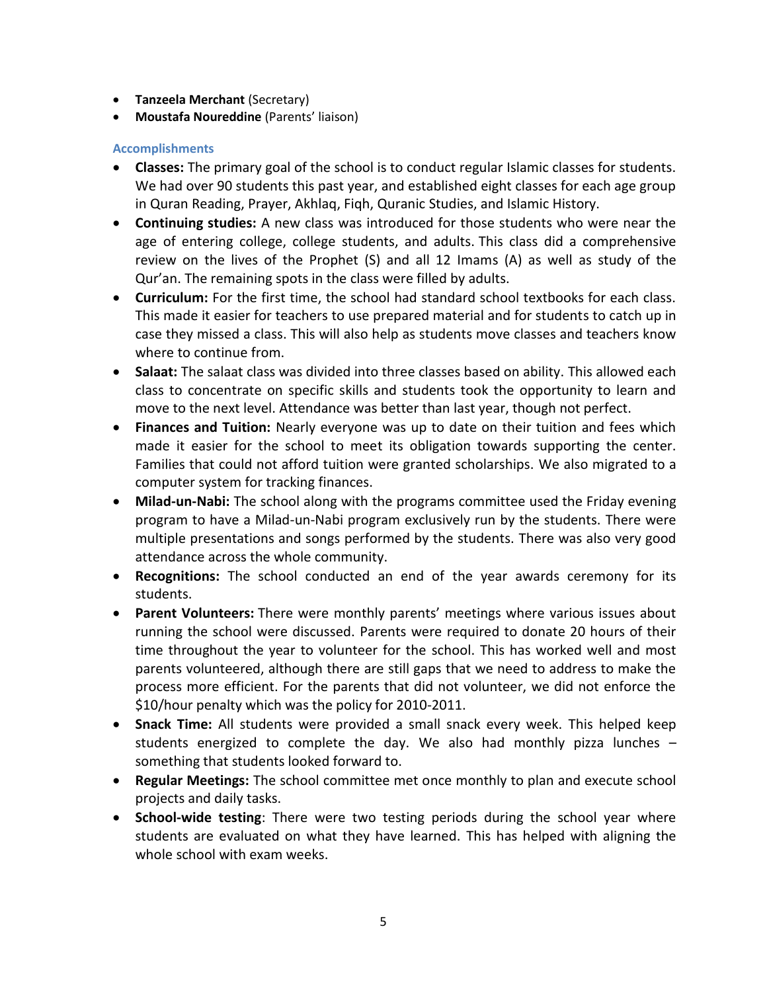- **Tanzeela Merchant** (Secretary)
- **Moustafa Noureddine** (Parents' liaison)

- **Classes:** The primary goal of the school is to conduct regular Islamic classes for students. We had over 90 students this past year, and established eight classes for each age group in Quran Reading, Prayer, Akhlaq, Fiqh, Quranic Studies, and Islamic History.
- **Continuing studies:** A new class was introduced for those students who were near the age of entering college, college students, and adults. This class did a comprehensive review on the lives of the Prophet (S) and all 12 Imams (A) as well as study of the Qur'an. The remaining spots in the class were filled by adults.
- **Curriculum:** For the first time, the school had standard school textbooks for each class. This made it easier for teachers to use prepared material and for students to catch up in case they missed a class. This will also help as students move classes and teachers know where to continue from.
- **Salaat:** The salaat class was divided into three classes based on ability. This allowed each class to concentrate on specific skills and students took the opportunity to learn and move to the next level. Attendance was better than last year, though not perfect.
- **Finances and Tuition:** Nearly everyone was up to date on their tuition and fees which made it easier for the school to meet its obligation towards supporting the center. Families that could not afford tuition were granted scholarships. We also migrated to a computer system for tracking finances.
- **Milad-un-Nabi:** The school along with the programs committee used the Friday evening program to have a Milad-un-Nabi program exclusively run by the students. There were multiple presentations and songs performed by the students. There was also very good attendance across the whole community.
- **Recognitions:** The school conducted an end of the year awards ceremony for its students.
- **Parent Volunteers:** There were monthly parents' meetings where various issues about running the school were discussed. Parents were required to donate 20 hours of their time throughout the year to volunteer for the school. This has worked well and most parents volunteered, although there are still gaps that we need to address to make the process more efficient. For the parents that did not volunteer, we did not enforce the \$10/hour penalty which was the policy for 2010-2011.
- **Snack Time:** All students were provided a small snack every week. This helped keep students energized to complete the day. We also had monthly pizza lunches – something that students looked forward to.
- **Regular Meetings:** The school committee met once monthly to plan and execute school projects and daily tasks.
- **School-wide testing**: There were two testing periods during the school year where students are evaluated on what they have learned. This has helped with aligning the whole school with exam weeks.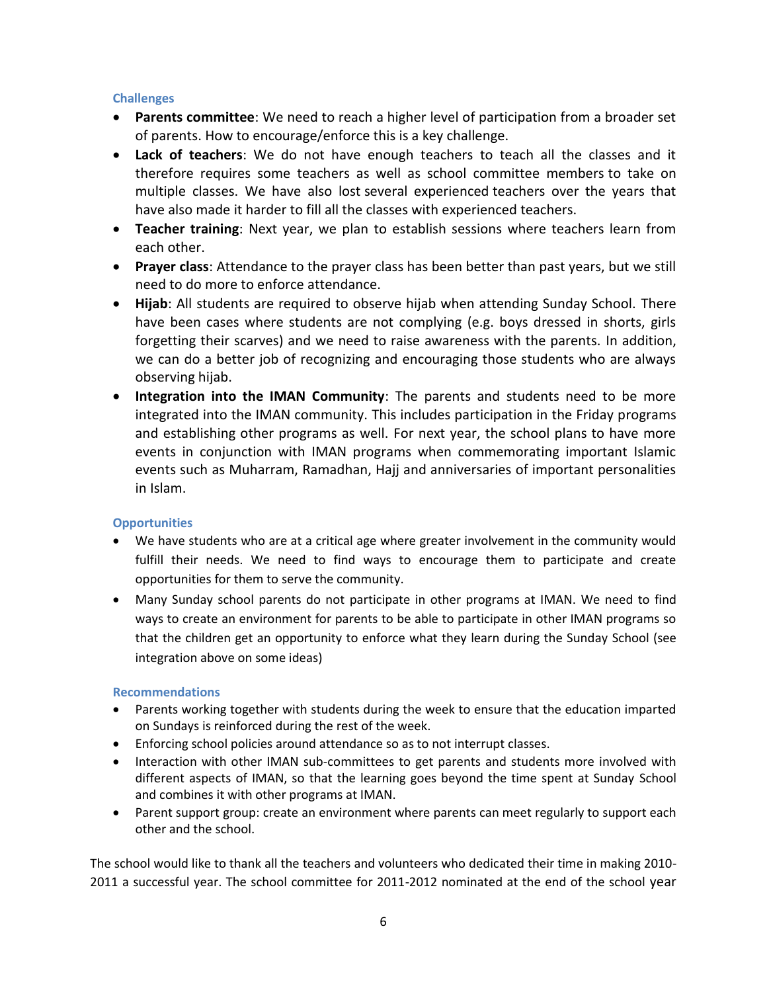- **Parents committee**: We need to reach a higher level of participation from a broader set of parents. How to encourage/enforce this is a key challenge.
- **Lack of teachers**: We do not have enough teachers to teach all the classes and it therefore requires some teachers as well as school committee members to take on multiple classes. We have also lost several experienced teachers over the years that have also made it harder to fill all the classes with experienced teachers.
- **Teacher training**: Next year, we plan to establish sessions where teachers learn from each other.
- **Prayer class**: Attendance to the prayer class has been better than past years, but we still need to do more to enforce attendance.
- **Hijab**: All students are required to observe hijab when attending Sunday School. There have been cases where students are not complying (e.g. boys dressed in shorts, girls forgetting their scarves) and we need to raise awareness with the parents. In addition, we can do a better job of recognizing and encouraging those students who are always observing hijab.
- **Integration into the IMAN Community**: The parents and students need to be more integrated into the IMAN community. This includes participation in the Friday programs and establishing other programs as well. For next year, the school plans to have more events in conjunction with IMAN programs when commemorating important Islamic events such as Muharram, Ramadhan, Hajj and anniversaries of important personalities in Islam.

### **Opportunities**

- We have students who are at a critical age where greater involvement in the community would fulfill their needs. We need to find ways to encourage them to participate and create opportunities for them to serve the community.
- Many Sunday school parents do not participate in other programs at IMAN. We need to find ways to create an environment for parents to be able to participate in other IMAN programs so that the children get an opportunity to enforce what they learn during the Sunday School (see integration above on some ideas)

### **Recommendations**

- Parents working together with students during the week to ensure that the education imparted on Sundays is reinforced during the rest of the week.
- Enforcing school policies around attendance so as to not interrupt classes.
- Interaction with other IMAN sub-committees to get parents and students more involved with different aspects of IMAN, so that the learning goes beyond the time spent at Sunday School and combines it with other programs at IMAN.
- Parent support group: create an environment where parents can meet regularly to support each other and the school.

The school would like to thank all the teachers and volunteers who dedicated their time in making 2010- 2011 a successful year. The school committee for 2011-2012 nominated at the end of the school year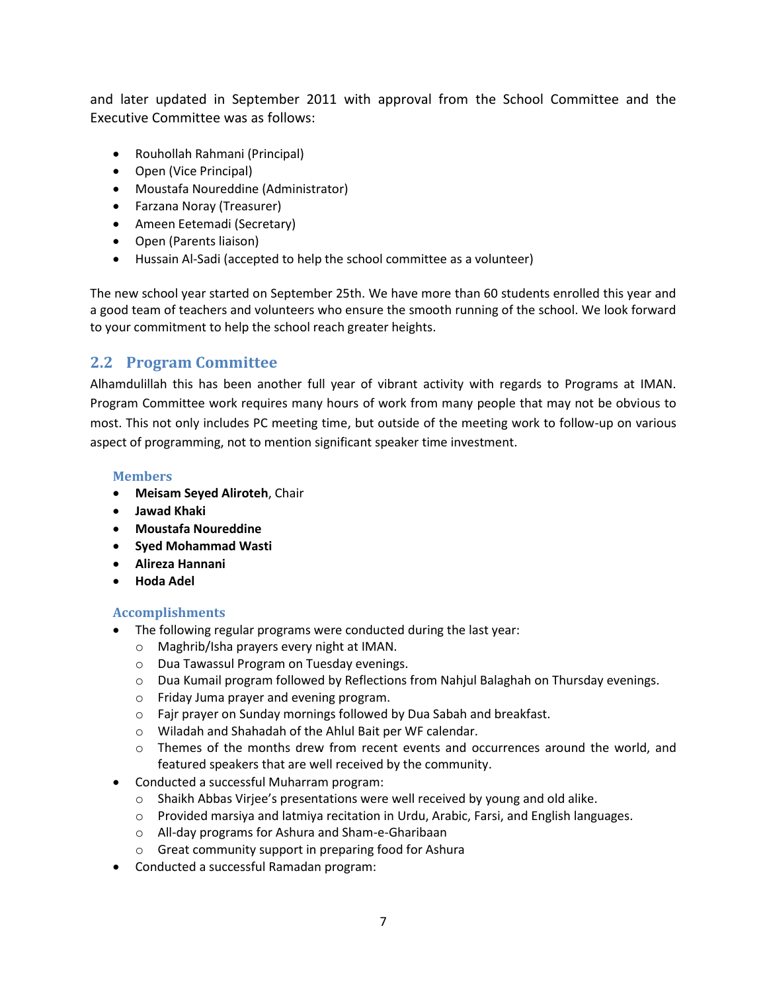and later updated in September 2011 with approval from the School Committee and the Executive Committee was as follows:

- Rouhollah Rahmani (Principal)
- Open (Vice Principal)
- Moustafa Noureddine (Administrator)
- Farzana Noray (Treasurer)
- Ameen Eetemadi (Secretary)
- Open (Parents liaison)
- Hussain Al-Sadi (accepted to help the school committee as a volunteer)

The new school year started on September 25th. We have more than 60 students enrolled this year and a good team of teachers and volunteers who ensure the smooth running of the school. We look forward to your commitment to help the school reach greater heights.

### <span id="page-6-0"></span>**2.2 Program Committee**

Alhamdulillah this has been another full year of vibrant activity with regards to Programs at IMAN. Program Committee work requires many hours of work from many people that may not be obvious to most. This not only includes PC meeting time, but outside of the meeting work to follow-up on various aspect of programming, not to mention significant speaker time investment.

### **Members**

- **Meisam Seyed Aliroteh**, Chair
- **Jawad Khaki**
- **Moustafa Noureddine**
- **Syed Mohammad Wasti**
- **Alireza Hannani**
- **Hoda Adel**

- The following regular programs were conducted during the last year:
	- o Maghrib/Isha prayers every night at IMAN.
	- o Dua Tawassul Program on Tuesday evenings.
	- o Dua Kumail program followed by Reflections from Nahjul Balaghah on Thursday evenings.
	- o Friday Juma prayer and evening program.
	- o Fajr prayer on Sunday mornings followed by Dua Sabah and breakfast.
	- o Wiladah and Shahadah of the Ahlul Bait per WF calendar.
	- $\circ$  Themes of the months drew from recent events and occurrences around the world, and featured speakers that are well received by the community.
- Conducted a successful Muharram program:
	- o Shaikh Abbas Virjee's presentations were well received by young and old alike.
	- $\circ$  Provided marsiya and latmiya recitation in Urdu, Arabic, Farsi, and English languages.
	- o All-day programs for Ashura and Sham-e-Gharibaan
	- o Great community support in preparing food for Ashura
- Conducted a successful Ramadan program: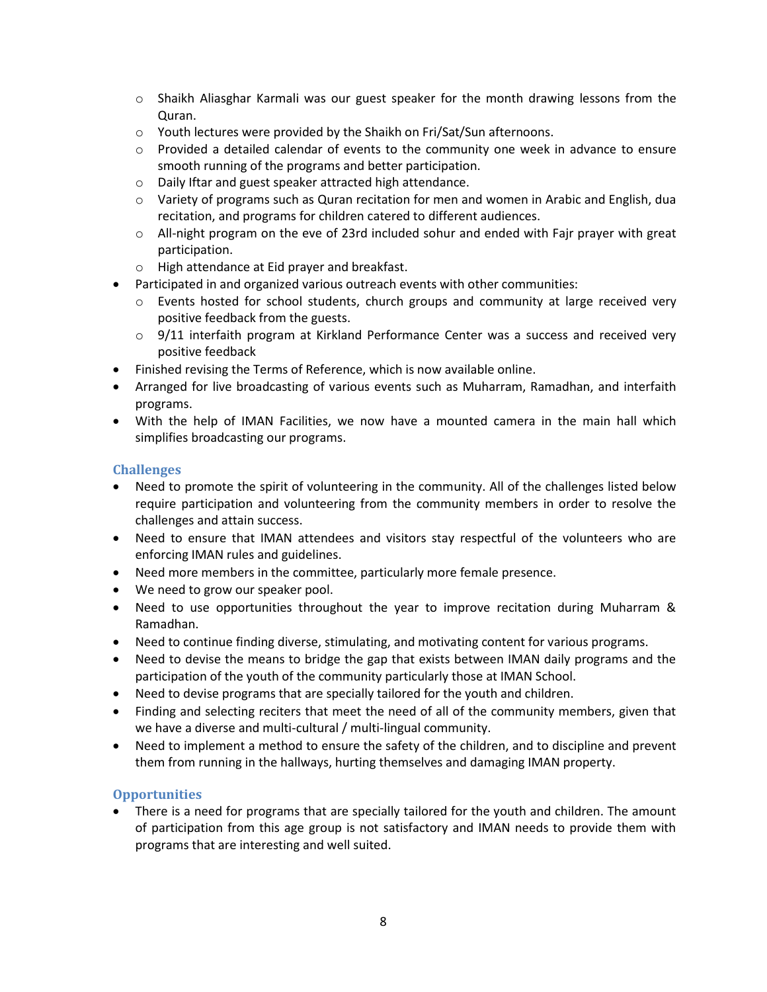- $\circ$  Shaikh Aliasghar Karmali was our guest speaker for the month drawing lessons from the Quran.
- o Youth lectures were provided by the Shaikh on Fri/Sat/Sun afternoons.
- $\circ$  Provided a detailed calendar of events to the community one week in advance to ensure smooth running of the programs and better participation.
- o Daily Iftar and guest speaker attracted high attendance.
- o Variety of programs such as Quran recitation for men and women in Arabic and English, dua recitation, and programs for children catered to different audiences.
- o All-night program on the eve of 23rd included sohur and ended with Fajr prayer with great participation.
- o High attendance at Eid prayer and breakfast.
- Participated in and organized various outreach events with other communities:
	- $\circ$  Events hosted for school students, church groups and community at large received very positive feedback from the guests.
	- $\circ$  9/11 interfaith program at Kirkland Performance Center was a success and received very positive feedback
- Finished revising the Terms of Reference, which is now available online.
- Arranged for live broadcasting of various events such as Muharram, Ramadhan, and interfaith programs.
- With the help of IMAN Facilities, we now have a mounted camera in the main hall which simplifies broadcasting our programs.

- Need to promote the spirit of volunteering in the community. All of the challenges listed below require participation and volunteering from the community members in order to resolve the challenges and attain success.
- Need to ensure that IMAN attendees and visitors stay respectful of the volunteers who are enforcing IMAN rules and guidelines.
- Need more members in the committee, particularly more female presence.
- We need to grow our speaker pool.
- Need to use opportunities throughout the year to improve recitation during Muharram & Ramadhan.
- Need to continue finding diverse, stimulating, and motivating content for various programs.
- Need to devise the means to bridge the gap that exists between IMAN daily programs and the participation of the youth of the community particularly those at IMAN School.
- Need to devise programs that are specially tailored for the youth and children.
- Finding and selecting reciters that meet the need of all of the community members, given that we have a diverse and multi-cultural / multi-lingual community.
- Need to implement a method to ensure the safety of the children, and to discipline and prevent them from running in the hallways, hurting themselves and damaging IMAN property.

### **Opportunities**

 There is a need for programs that are specially tailored for the youth and children. The amount of participation from this age group is not satisfactory and IMAN needs to provide them with programs that are interesting and well suited.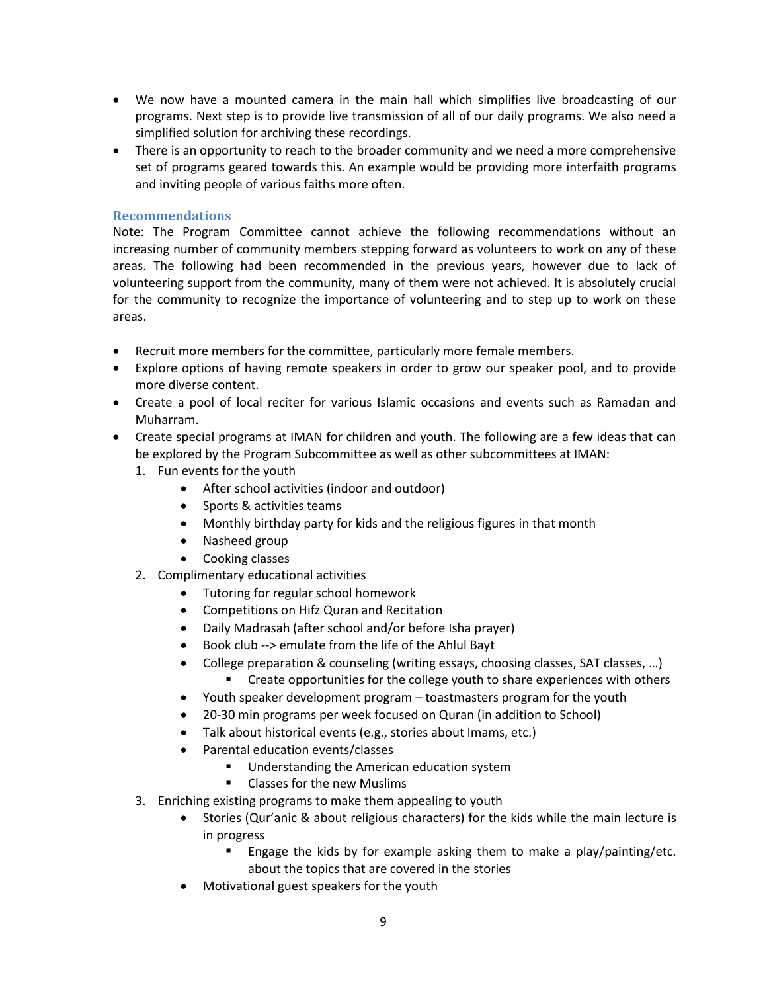- We now have a mounted camera in the main hall which simplifies live broadcasting of our programs. Next step is to provide live transmission of all of our daily programs. We also need a simplified solution for archiving these recordings.
- There is an opportunity to reach to the broader community and we need a more comprehensive set of programs geared towards this. An example would be providing more interfaith programs and inviting people of various faiths more often.

### **Recommendations**

Note: The Program Committee cannot achieve the following recommendations without an increasing number of community members stepping forward as volunteers to work on any of these areas. The following had been recommended in the previous years, however due to lack of volunteering support from the community, many of them were not achieved. It is absolutely crucial for the community to recognize the importance of volunteering and to step up to work on these areas.

- Recruit more members for the committee, particularly more female members.
- Explore options of having remote speakers in order to grow our speaker pool, and to provide more diverse content.
- Create a pool of local reciter for various Islamic occasions and events such as Ramadan and Muharram.
- Create special programs at IMAN for children and youth. The following are a few ideas that can be explored by the Program Subcommittee as well as other subcommittees at IMAN:
	- 1. Fun events for the youth
		- After school activities (indoor and outdoor)
		- Sports & activities teams
		- Monthly birthday party for kids and the religious figures in that month
		- Nasheed group
		- Cooking classes
	- 2. Complimentary educational activities
		- Tutoring for regular school homework
		- Competitions on Hifz Quran and Recitation
		- Daily Madrasah (after school and/or before Isha prayer)
		- Book club --> emulate from the life of the Ahlul Bayt
		- College preparation & counseling (writing essays, choosing classes, SAT classes, …) **EXECT** Create opportunities for the college youth to share experiences with others
			-
		- Youth speaker development program toastmasters program for the youth
		- 20-30 min programs per week focused on Quran (in addition to School)
		- Talk about historical events (e.g., stories about Imams, etc.)
		- Parental education events/classes
			- **Understanding the American education system**
			- Classes for the new Muslims
	- 3. Enriching existing programs to make them appealing to youth
		- Stories (Qur'anic & about religious characters) for the kids while the main lecture is in progress
			- **Engage the kids by for example asking them to make a play/painting/etc.** about the topics that are covered in the stories
		- Motivational guest speakers for the youth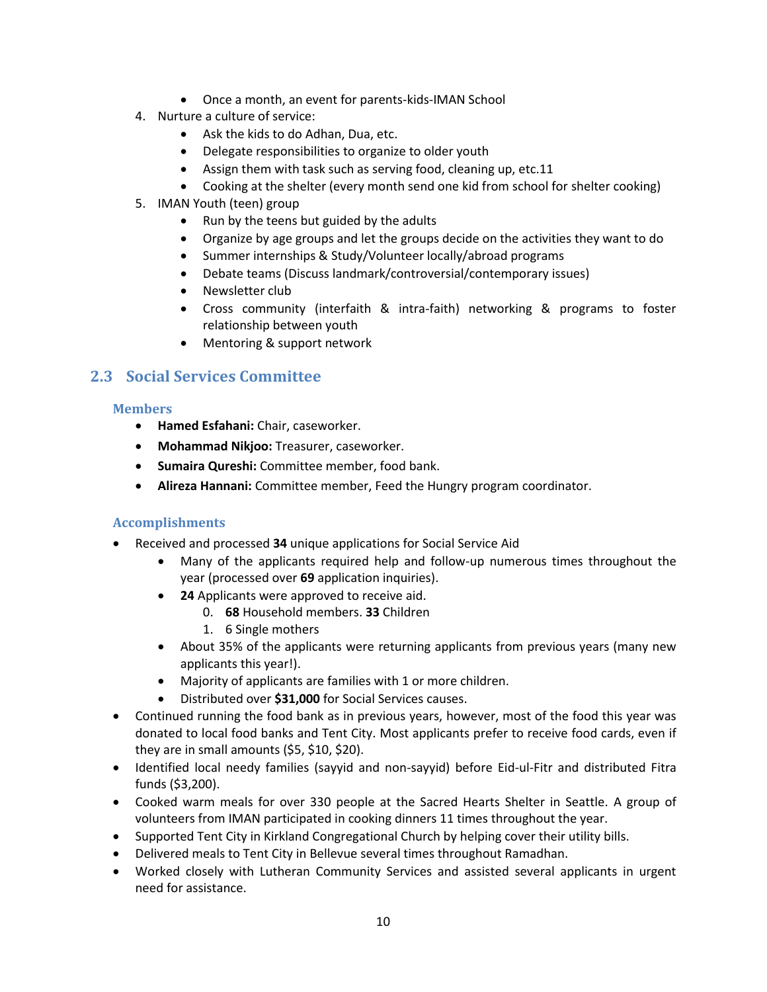- Once a month, an event for parents-kids-IMAN School
- 4. Nurture a culture of service:
	- Ask the kids to do Adhan, Dua, etc.
	- Delegate responsibilities to organize to older youth
	- Assign them with task such as serving food, cleaning up, etc.11
	- Cooking at the shelter (every month send one kid from school for shelter cooking)
- 5. IMAN Youth (teen) group
	- Run by the teens but guided by the adults
	- Organize by age groups and let the groups decide on the activities they want to do
	- Summer internships & Study/Volunteer locally/abroad programs
	- Debate teams (Discuss landmark/controversial/contemporary issues)
	- Newsletter club
	- Cross community (interfaith & intra-faith) networking & programs to foster relationship between youth
	- Mentoring & support network

### <span id="page-9-0"></span>**2.3 Social Services Committee**

### **Members**

- **Hamed Esfahani:** Chair, caseworker.
- **Mohammad Nikjoo:** Treasurer, caseworker.
- **Sumaira Qureshi:** Committee member, food bank.
- **Alireza Hannani:** Committee member, Feed the Hungry program coordinator.

- Received and processed **34** unique applications for Social Service Aid
	- Many of the applicants required help and follow-up numerous times throughout the year (processed over **69** application inquiries).
	- **24** Applicants were approved to receive aid.
		- 0. **68** Household members. **33** Children
			- 1. 6 Single mothers
	- About 35% of the applicants were returning applicants from previous years (many new applicants this year!).
	- Majority of applicants are families with 1 or more children.
	- Distributed over **\$31,000** for Social Services causes.
- Continued running the food bank as in previous years, however, most of the food this year was donated to local food banks and Tent City. Most applicants prefer to receive food cards, even if they are in small amounts (\$5, \$10, \$20).
- Identified local needy families (sayyid and non-sayyid) before Eid-ul-Fitr and distributed Fitra funds (\$3,200).
- Cooked warm meals for over 330 people at the Sacred Hearts Shelter in Seattle. A group of volunteers from IMAN participated in cooking dinners 11 times throughout the year.
- Supported Tent City in Kirkland Congregational Church by helping cover their utility bills.
- Delivered meals to Tent City in Bellevue several times throughout Ramadhan.
- Worked closely with Lutheran Community Services and assisted several applicants in urgent need for assistance.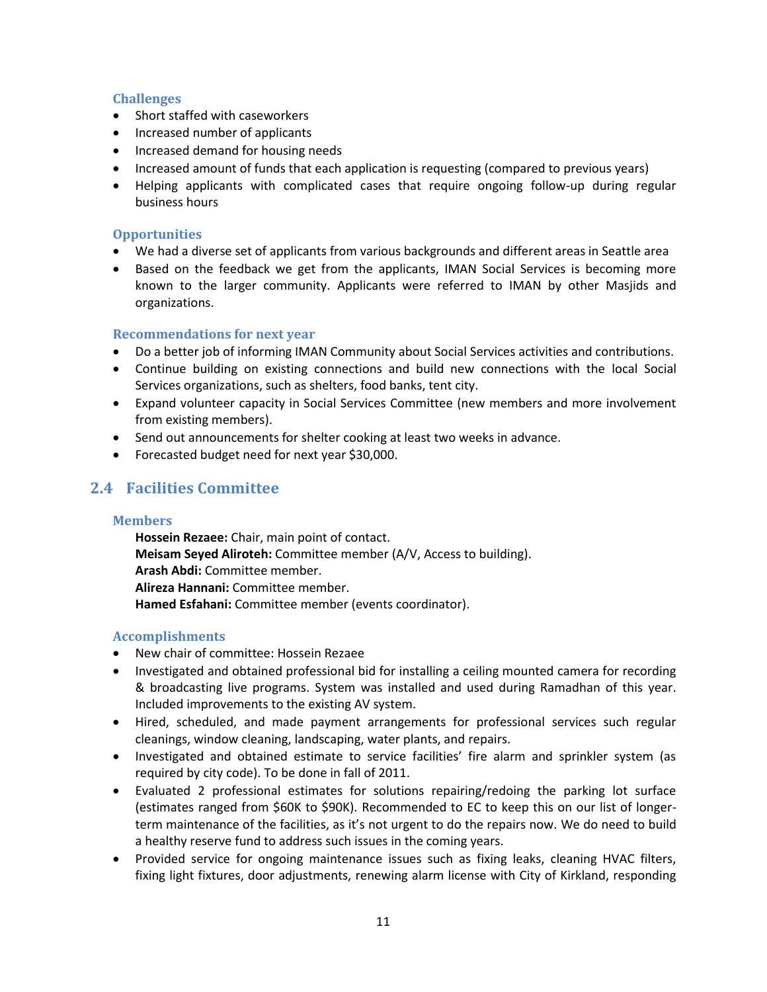- Short staffed with caseworkers
- Increased number of applicants
- Increased demand for housing needs
- Increased amount of funds that each application is requesting (compared to previous years)
- Helping applicants with complicated cases that require ongoing follow-up during regular business hours

### **Opportunities**

- We had a diverse set of applicants from various backgrounds and different areas in Seattle area
- Based on the feedback we get from the applicants, IMAN Social Services is becoming more known to the larger community. Applicants were referred to IMAN by other Masjids and organizations.

### **Recommendations for next year**

- Do a better job of informing IMAN Community about Social Services activities and contributions.
- Continue building on existing connections and build new connections with the local Social Services organizations, such as shelters, food banks, tent city.
- Expand volunteer capacity in Social Services Committee (new members and more involvement from existing members).
- Send out announcements for shelter cooking at least two weeks in advance.
- Forecasted budget need for next year \$30,000.

# <span id="page-10-0"></span>**2.4 Facilities Committee**

### **Members**

**Hossein Rezaee:** Chair, main point of contact. **Meisam Seyed Aliroteh:** Committee member (A/V, Access to building). **Arash Abdi:** Committee member. **Alireza Hannani:** Committee member. **Hamed Esfahani:** Committee member (events coordinator).

- New chair of committee: Hossein Rezaee
- Investigated and obtained professional bid for installing a ceiling mounted camera for recording & broadcasting live programs. System was installed and used during Ramadhan of this year. Included improvements to the existing AV system.
- Hired, scheduled, and made payment arrangements for professional services such regular cleanings, window cleaning, landscaping, water plants, and repairs.
- Investigated and obtained estimate to service facilities' fire alarm and sprinkler system (as required by city code). To be done in fall of 2011.
- Evaluated 2 professional estimates for solutions repairing/redoing the parking lot surface (estimates ranged from \$60K to \$90K). Recommended to EC to keep this on our list of longerterm maintenance of the facilities, as it's not urgent to do the repairs now. We do need to build a healthy reserve fund to address such issues in the coming years.
- Provided service for ongoing maintenance issues such as fixing leaks, cleaning HVAC filters, fixing light fixtures, door adjustments, renewing alarm license with City of Kirkland, responding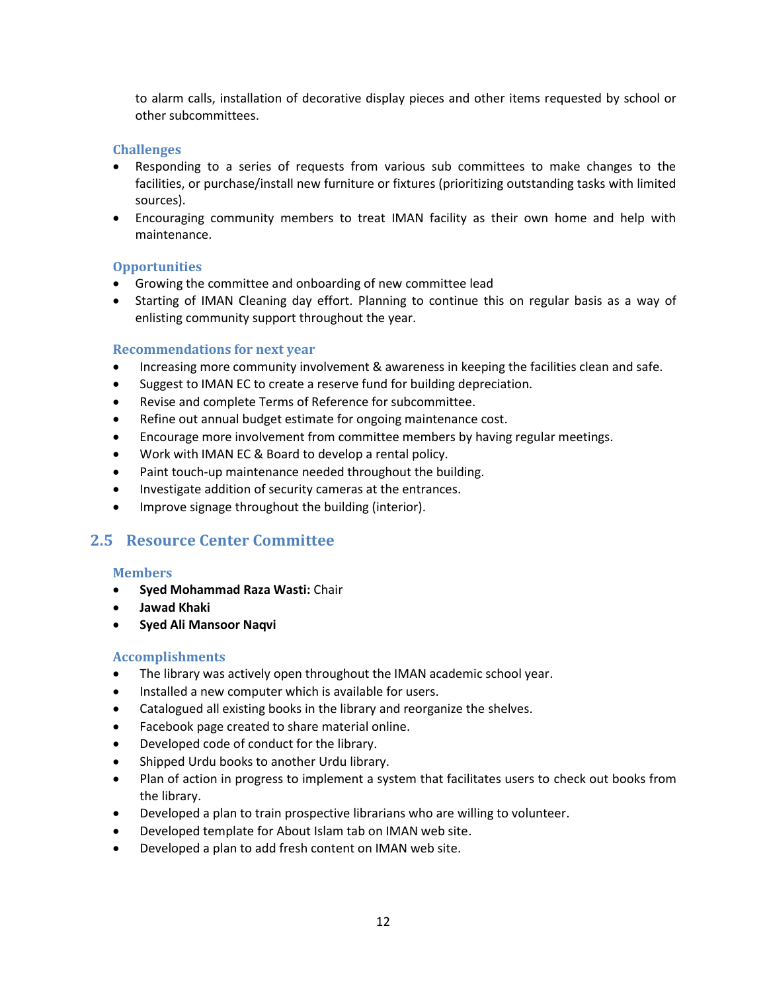to alarm calls, installation of decorative display pieces and other items requested by school or other subcommittees.

### **Challenges**

- Responding to a series of requests from various sub committees to make changes to the facilities, or purchase/install new furniture or fixtures (prioritizing outstanding tasks with limited sources).
- Encouraging community members to treat IMAN facility as their own home and help with maintenance.

### **Opportunities**

- Growing the committee and onboarding of new committee lead
- Starting of IMAN Cleaning day effort. Planning to continue this on regular basis as a way of enlisting community support throughout the year.

#### **Recommendations for next year**

- Increasing more community involvement & awareness in keeping the facilities clean and safe.
- Suggest to IMAN EC to create a reserve fund for building depreciation.
- Revise and complete Terms of Reference for subcommittee.
- Refine out annual budget estimate for ongoing maintenance cost.
- Encourage more involvement from committee members by having regular meetings.
- Work with IMAN EC & Board to develop a rental policy.
- Paint touch-up maintenance needed throughout the building.
- Investigate addition of security cameras at the entrances.
- Improve signage throughout the building (interior).

### <span id="page-11-0"></span>**2.5 Resource Center Committee**

#### **Members**

- **Syed Mohammad Raza Wasti:** Chair
- **Jawad Khaki**
- **Syed Ali Mansoor Naqvi**

- The library was actively open throughout the IMAN academic school year.
- Installed a new computer which is available for users.
- Catalogued all existing books in the library and reorganize the shelves.
- Facebook page created to share material online.
- Developed code of conduct for the library.
- Shipped Urdu books to another Urdu library.
- Plan of action in progress to implement a system that facilitates users to check out books from the library.
- Developed a plan to train prospective librarians who are willing to volunteer.
- Developed template for About Islam tab on IMAN web site.
- Developed a plan to add fresh content on IMAN web site.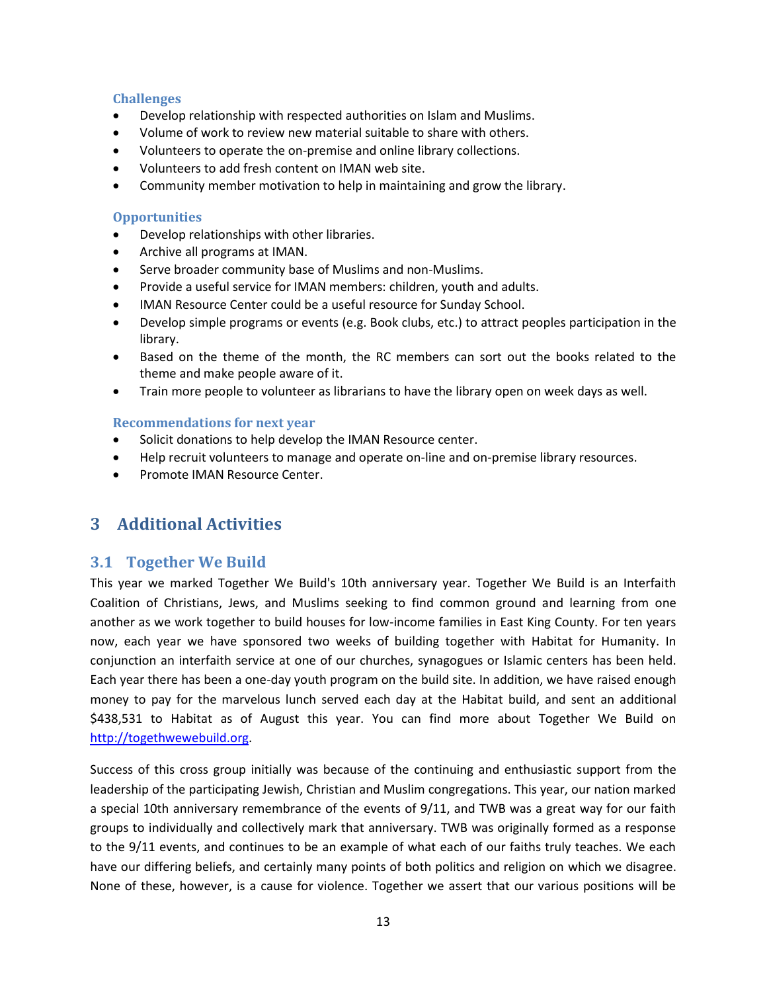- Develop relationship with respected authorities on Islam and Muslims.
- Volume of work to review new material suitable to share with others.
- Volunteers to operate the on-premise and online library collections.
- Volunteers to add fresh content on IMAN web site.
- Community member motivation to help in maintaining and grow the library.

### **Opportunities**

- Develop relationships with other libraries.
- Archive all programs at IMAN.
- Serve broader community base of Muslims and non-Muslims.
- Provide a useful service for IMAN members: children, youth and adults.
- IMAN Resource Center could be a useful resource for Sunday School.
- Develop simple programs or events (e.g. Book clubs, etc.) to attract peoples participation in the library.
- Based on the theme of the month, the RC members can sort out the books related to the theme and make people aware of it.
- Train more people to volunteer as librarians to have the library open on week days as well.

### **Recommendations for next year**

- Solicit donations to help develop the IMAN Resource center.
- Help recruit volunteers to manage and operate on-line and on-premise library resources.
- Promote IMAN Resource Center.

# <span id="page-12-0"></span>**3 Additional Activities**

### <span id="page-12-1"></span>**3.1 Together We Build**

This year we marked Together We Build's 10th anniversary year. Together We Build is an Interfaith Coalition of Christians, Jews, and Muslims seeking to find common ground and learning from one another as we work together to build houses for low-income families in East King County. For ten years now, each year we have sponsored two weeks of building together with Habitat for Humanity. In conjunction an interfaith service at one of our churches, synagogues or Islamic centers has been held. Each year there has been a one-day youth program on the build site. In addition, we have raised enough money to pay for the marvelous lunch served each day at the Habitat build, and sent an additional \$438,531 to Habitat as of August this year. You can find more about Together We Build on [http://togethwewebuild.org.](http://togethwewebuild.org/)

Success of this cross group initially was because of the continuing and enthusiastic support from the leadership of the participating Jewish, Christian and Muslim congregations. This year, our nation marked a special 10th anniversary remembrance of the events of 9/11, and TWB was a great way for our faith groups to individually and collectively mark that anniversary. TWB was originally formed as a response to the 9/11 events, and continues to be an example of what each of our faiths truly teaches. We each have our differing beliefs, and certainly many points of both politics and religion on which we disagree. None of these, however, is a cause for violence. Together we assert that our various positions will be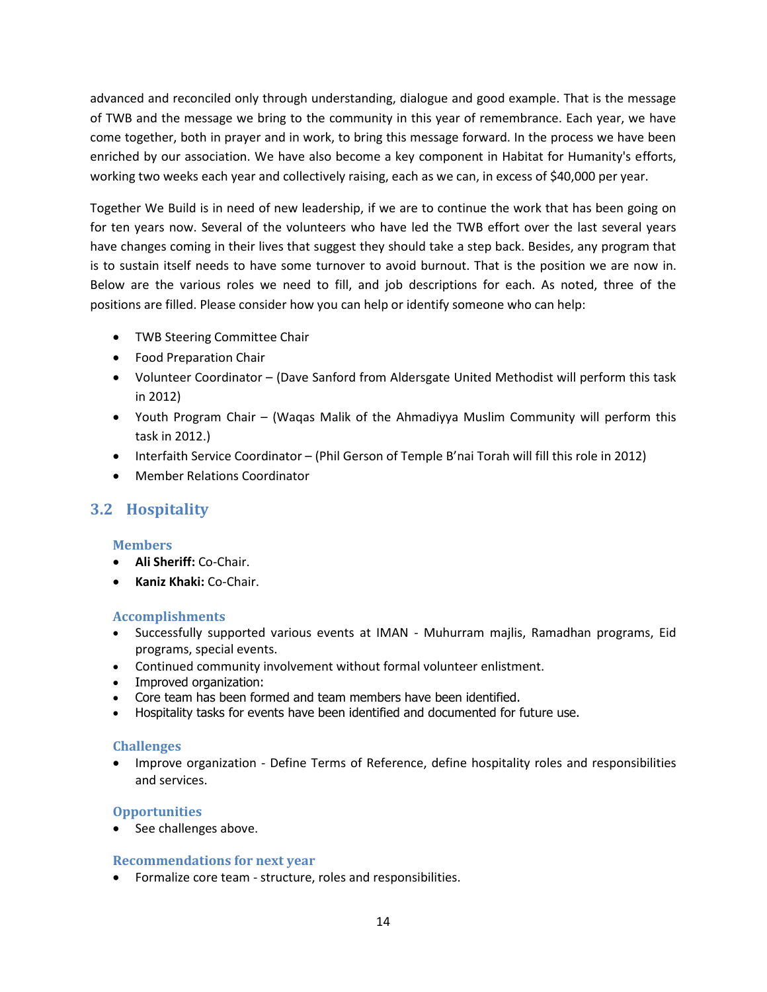advanced and reconciled only through understanding, dialogue and good example. That is the message of TWB and the message we bring to the community in this year of remembrance. Each year, we have come together, both in prayer and in work, to bring this message forward. In the process we have been enriched by our association. We have also become a key component in Habitat for Humanity's efforts, working two weeks each year and collectively raising, each as we can, in excess of \$40,000 per year.

Together We Build is in need of new leadership, if we are to continue the work that has been going on for ten years now. Several of the volunteers who have led the TWB effort over the last several years have changes coming in their lives that suggest they should take a step back. Besides, any program that is to sustain itself needs to have some turnover to avoid burnout. That is the position we are now in. Below are the various roles we need to fill, and job descriptions for each. As noted, three of the positions are filled. Please consider how you can help or identify someone who can help:

- TWB Steering Committee Chair
- Food Preparation Chair
- Volunteer Coordinator (Dave Sanford from Aldersgate United Methodist will perform this task in 2012)
- Youth Program Chair (Waqas Malik of the Ahmadiyya Muslim Community will perform this task in 2012.)
- Interfaith Service Coordinator (Phil Gerson of Temple B'nai Torah will fill this role in 2012)
- Member Relations Coordinator

# <span id="page-13-0"></span>**3.2 Hospitality**

### **Members**

- **Ali Sheriff:** Co-Chair.
- **Kaniz Khaki:** Co-Chair.

### **Accomplishments**

- Successfully supported various events at IMAN Muhurram majlis, Ramadhan programs, Eid programs, special events.
- Continued community involvement without formal volunteer enlistment.
- Improved organization:
- Core team has been formed and team members have been identified.
- Hospitality tasks for events have been identified and documented for future use.

### **Challenges**

 Improve organization - Define Terms of Reference, define hospitality roles and responsibilities and services.

### **Opportunities**

• See challenges above.

### **Recommendations for next year**

Formalize core team - structure, roles and responsibilities.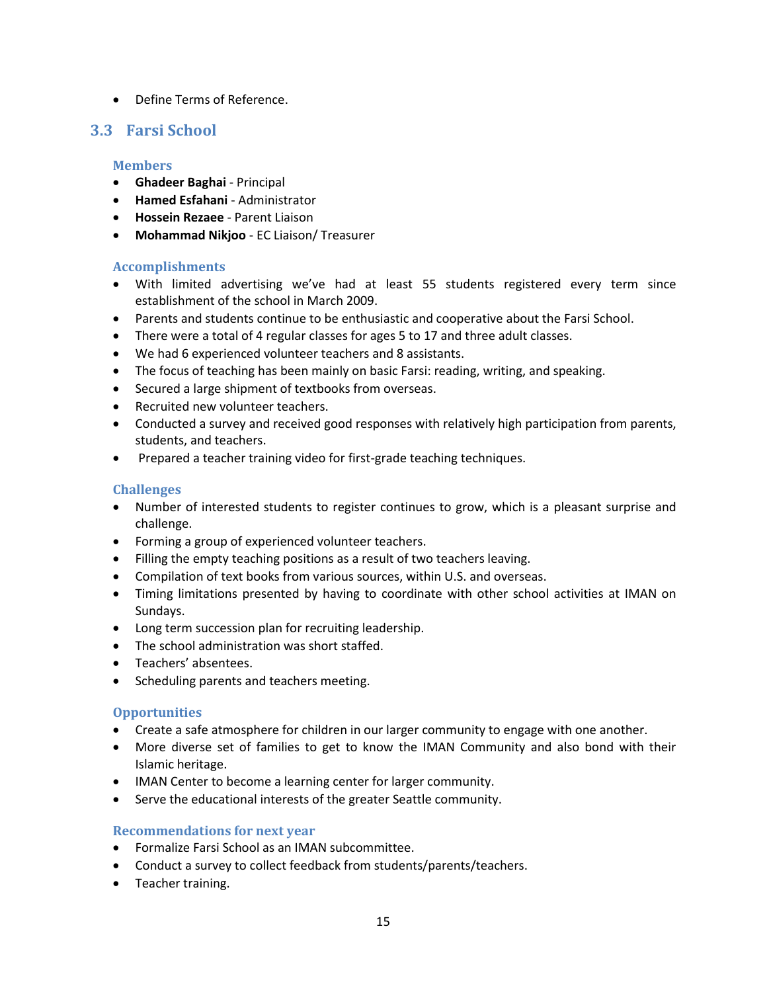Define Terms of Reference.

## <span id="page-14-0"></span>**3.3 Farsi School**

### **Members**

- **Ghadeer Baghai** Principal
- **Hamed Esfahani** Administrator
- **Hossein Rezaee** Parent Liaison
- **Mohammad Nikjoo** EC Liaison/ Treasurer

### **Accomplishments**

- With limited advertising we've had at least 55 students registered every term since establishment of the school in March 2009.
- Parents and students continue to be enthusiastic and cooperative about the Farsi School.
- There were a total of 4 regular classes for ages 5 to 17 and three adult classes.
- We had 6 experienced volunteer teachers and 8 assistants.
- The focus of teaching has been mainly on basic Farsi: reading, writing, and speaking.
- Secured a large shipment of textbooks from overseas.
- Recruited new volunteer teachers.
- Conducted a survey and received good responses with relatively high participation from parents, students, and teachers.
- Prepared a teacher training video for first-grade teaching techniques.

### **Challenges**

- Number of interested students to register continues to grow, which is a pleasant surprise and challenge.
- Forming a group of experienced volunteer teachers.
- Filling the empty teaching positions as a result of two teachers leaving.
- Compilation of text books from various sources, within U.S. and overseas.
- Timing limitations presented by having to coordinate with other school activities at IMAN on Sundays.
- Long term succession plan for recruiting leadership.
- The school administration was short staffed.
- Teachers' absentees.
- Scheduling parents and teachers meeting.

### **Opportunities**

- Create a safe atmosphere for children in our larger community to engage with one another.
- More diverse set of families to get to know the IMAN Community and also bond with their Islamic heritage.
- IMAN Center to become a learning center for larger community.
- Serve the educational interests of the greater Seattle community.

### **Recommendations for next year**

- Formalize Farsi School as an IMAN subcommittee.
- Conduct a survey to collect feedback from students/parents/teachers.
- Teacher training.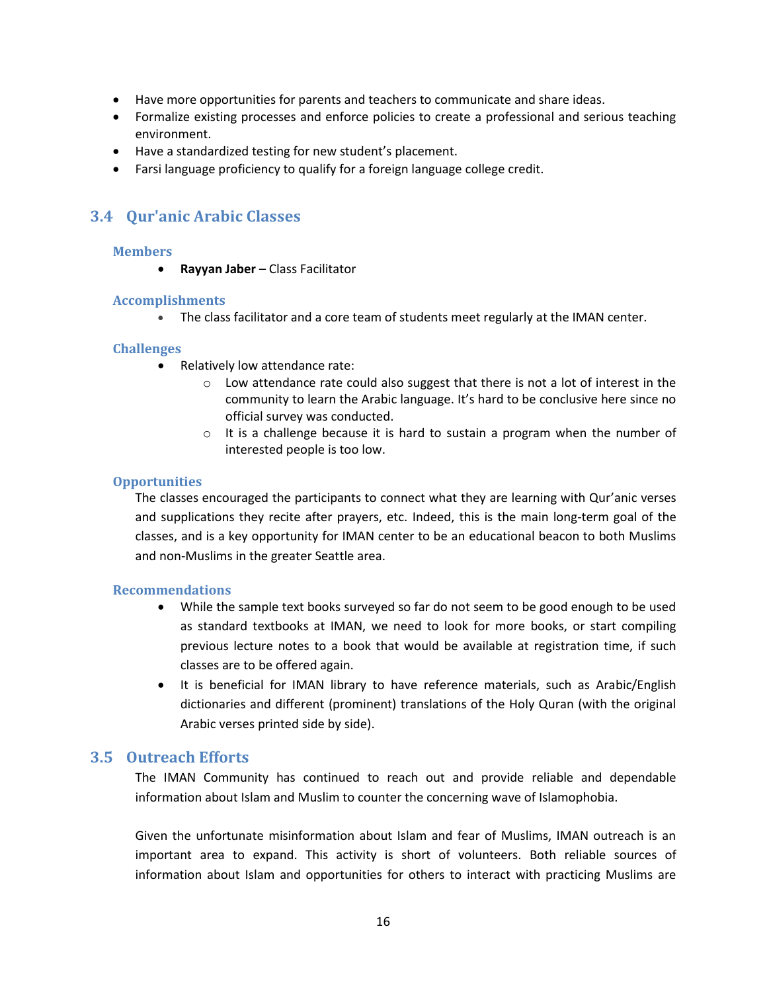- Have more opportunities for parents and teachers to communicate and share ideas.
- Formalize existing processes and enforce policies to create a professional and serious teaching environment.
- Have a standardized testing for new student's placement.
- Farsi language proficiency to qualify for a foreign language college credit.

# <span id="page-15-0"></span>**3.4 Qur'anic Arabic Classes**

### **Members**

**Rayyan Jaber** – Class Facilitator

### **Accomplishments**

The class facilitator and a core team of students meet regularly at the IMAN center.

### **Challenges**

- Relatively low attendance rate:
	- $\circ$  Low attendance rate could also suggest that there is not a lot of interest in the community to learn the Arabic language. It's hard to be conclusive here since no official survey was conducted.
	- $\circ$  It is a challenge because it is hard to sustain a program when the number of interested people is too low.

### **Opportunities**

The classes encouraged the participants to connect what they are learning with Qur'anic verses and supplications they recite after prayers, etc. Indeed, this is the main long-term goal of the classes, and is a key opportunity for IMAN center to be an educational beacon to both Muslims and non-Muslims in the greater Seattle area.

### **Recommendations**

- While the sample text books surveyed so far do not seem to be good enough to be used as standard textbooks at IMAN, we need to look for more books, or start compiling previous lecture notes to a book that would be available at registration time, if such classes are to be offered again.
- It is beneficial for IMAN library to have reference materials, such as Arabic/English dictionaries and different (prominent) translations of the Holy Quran (with the original Arabic verses printed side by side).

### <span id="page-15-1"></span>**3.5 Outreach Efforts**

The IMAN Community has continued to reach out and provide reliable and dependable information about Islam and Muslim to counter the concerning wave of Islamophobia.

Given the unfortunate misinformation about Islam and fear of Muslims, IMAN outreach is an important area to expand. This activity is short of volunteers. Both reliable sources of information about Islam and opportunities for others to interact with practicing Muslims are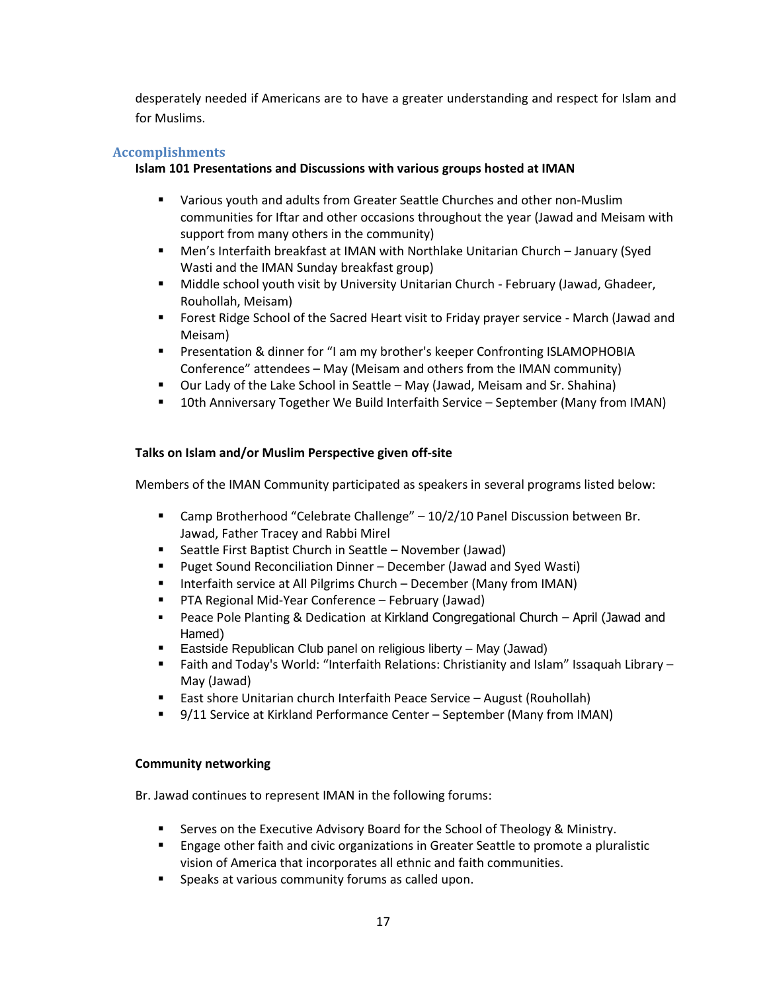desperately needed if Americans are to have a greater understanding and respect for Islam and for Muslims.

### **Accomplishments**

### **Islam 101 Presentations and Discussions with various groups hosted at IMAN**

- **UPE Various youth and adults from Greater Seattle Churches and other non-Muslim** communities for Iftar and other occasions throughout the year (Jawad and Meisam with support from many others in the community)
- Men's Interfaith breakfast at IMAN with Northlake Unitarian Church January (Syed Wasti and the IMAN Sunday breakfast group)
- Middle school youth visit by University Unitarian Church February (Jawad, Ghadeer, Rouhollah, Meisam)
- Forest Ridge School of the Sacred Heart visit to Friday prayer service March (Jawad and Meisam)
- **Presentation & dinner for "I am my brother's keeper Confronting ISLAMOPHOBIA** Conference" attendees – May (Meisam and others from the IMAN community)
- Our Lady of the Lake School in Seattle May (Jawad, Meisam and Sr. Shahina)
- 10th Anniversary Together We Build Interfaith Service September (Many from IMAN)

### **Talks on Islam and/or Muslim Perspective given off-site**

Members of the IMAN Community participated as speakers in several programs listed below:

- Camp Brotherhood "Celebrate Challenge" 10/2/10 Panel Discussion between Br. Jawad, Father Tracey and Rabbi Mirel
- Seattle First Baptist Church in Seattle November (Jawad)
- Puget Sound Reconciliation Dinner December (Jawad and Syed Wasti)
- **IF Interfaith service at All Pilgrims Church December (Many from IMAN)**
- PTA Regional Mid-Year Conference February (Jawad)
- Peace Pole Planting & Dedication at Kirkland Congregational Church April (Jawad and Hamed)
- Eastside Republican Club panel on religious liberty May (Jawad)
- Faith and Today's World: "Interfaith Relations: Christianity and Islam" Issaquah Library May (Jawad)
- East shore Unitarian church Interfaith Peace Service August (Rouhollah)
- 9/11 Service at Kirkland Performance Center September (Many from IMAN)

### **Community networking**

Br. Jawad continues to represent IMAN in the following forums:

- Serves on the Executive Advisory Board for the School of Theology & Ministry.
- Engage other faith and civic organizations in Greater Seattle to promote a pluralistic vision of America that incorporates all ethnic and faith communities.
- **Speaks at various community forums as called upon.**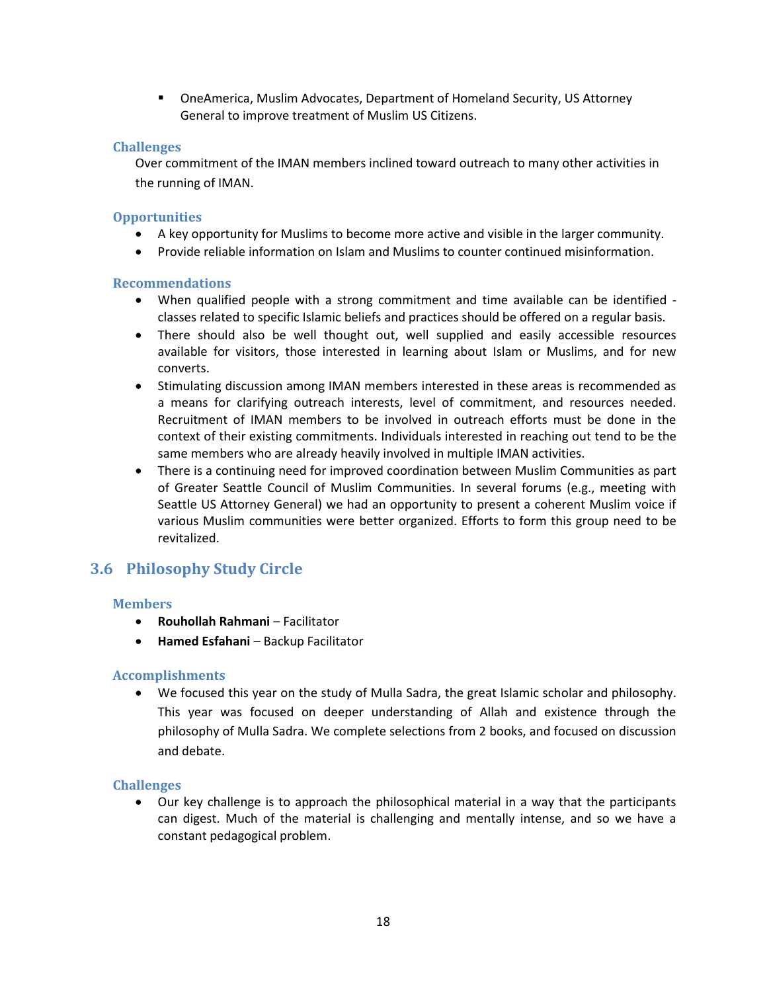OneAmerica, Muslim Advocates, Department of Homeland Security, US Attorney General to improve treatment of Muslim US Citizens.

### **Challenges**

Over commitment of the IMAN members inclined toward outreach to many other activities in the running of IMAN.

### **Opportunities**

- A key opportunity for Muslims to become more active and visible in the larger community.
- Provide reliable information on Islam and Muslims to counter continued misinformation.

### **Recommendations**

- When qualified people with a strong commitment and time available can be identified classes related to specific Islamic beliefs and practices should be offered on a regular basis.
- There should also be well thought out, well supplied and easily accessible resources available for visitors, those interested in learning about Islam or Muslims, and for new converts.
- Stimulating discussion among IMAN members interested in these areas is recommended as a means for clarifying outreach interests, level of commitment, and resources needed. Recruitment of IMAN members to be involved in outreach efforts must be done in the context of their existing commitments. Individuals interested in reaching out tend to be the same members who are already heavily involved in multiple IMAN activities.
- There is a continuing need for improved coordination between Muslim Communities as part of Greater Seattle Council of Muslim Communities. In several forums (e.g., meeting with Seattle US Attorney General) we had an opportunity to present a coherent Muslim voice if various Muslim communities were better organized. Efforts to form this group need to be revitalized.

# <span id="page-17-0"></span>**3.6 Philosophy Study Circle**

### **Members**

- **Rouhollah Rahmani** Facilitator
- **Hamed Esfahani** Backup Facilitator

### **Accomplishments**

 We focused this year on the study of Mulla Sadra, the great Islamic scholar and philosophy. This year was focused on deeper understanding of Allah and existence through the philosophy of Mulla Sadra. We complete selections from 2 books, and focused on discussion and debate.

### **Challenges**

 Our key challenge is to approach the philosophical material in a way that the participants can digest. Much of the material is challenging and mentally intense, and so we have a constant pedagogical problem.